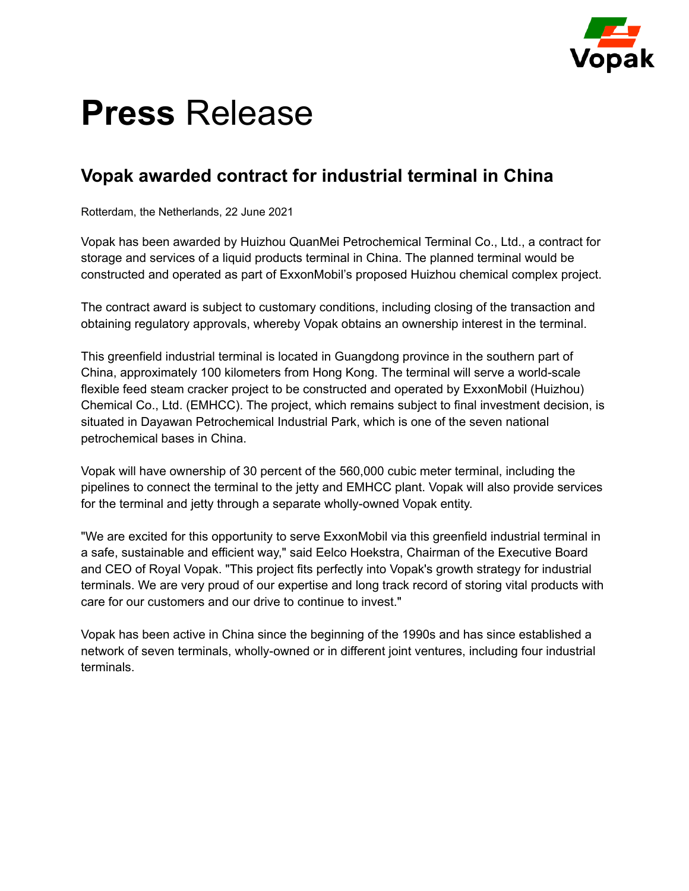

# **Press** Release

### **Vopak awarded contract for industrial terminal in China**

Rotterdam, the Netherlands, 22 June 2021

Vopak has been awarded by Huizhou QuanMei Petrochemical Terminal Co., Ltd., a contract for storage and services of a liquid products terminal in China. The planned terminal would be constructed and operated as part of ExxonMobil's proposed Huizhou chemical complex project.

The contract award is subject to customary conditions, including closing of the transaction and obtaining regulatory approvals, whereby Vopak obtains an ownership interest in the terminal.

This greenfield industrial terminal is located in Guangdong province in the southern part of China, approximately 100 kilometers from Hong Kong. The terminal will serve a world-scale flexible feed steam cracker project to be constructed and operated by ExxonMobil (Huizhou) Chemical Co., Ltd. (EMHCC). The project, which remains subject to final investment decision, is situated in Dayawan Petrochemical Industrial Park, which is one of the seven national petrochemical bases in China.

Vopak will have ownership of 30 percent of the 560,000 cubic meter terminal, including the pipelines to connect the terminal to the jetty and EMHCC plant. Vopak will also provide services for the terminal and jetty through a separate wholly-owned Vopak entity.

"We are excited for this opportunity to serve ExxonMobil via this greenfield industrial terminal in a safe, sustainable and efficient way," said Eelco Hoekstra, Chairman of the Executive Board and CEO of Royal Vopak. "This project fits perfectly into Vopak's growth strategy for industrial terminals. We are very proud of our expertise and long track record of storing vital products with care for our customers and our drive to continue to invest."

Vopak has been active in China since the beginning of the 1990s and has since established a network of seven terminals, wholly-owned or in different joint ventures, including four industrial terminals.